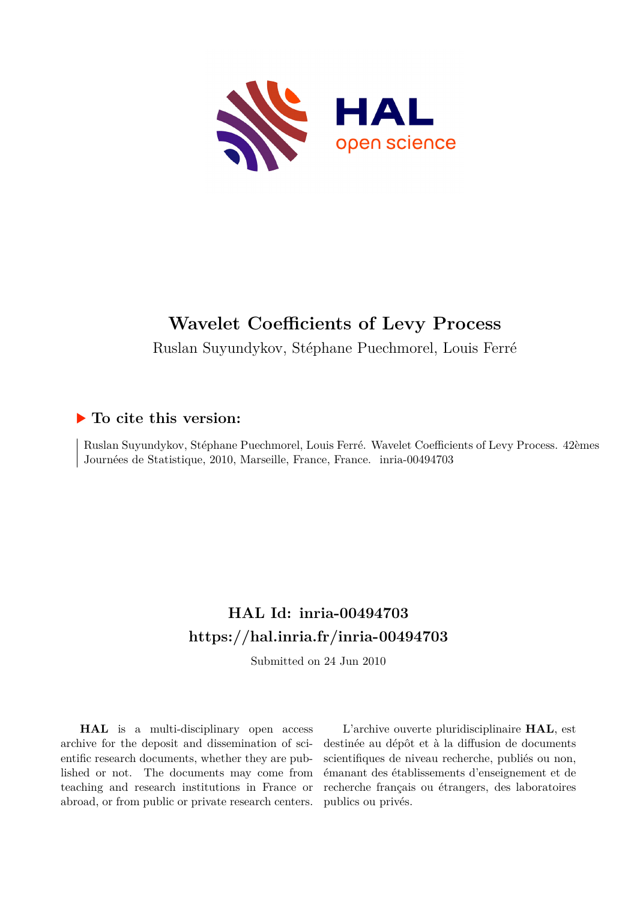

## **Wavelet Coefficients of Levy Process**

Ruslan Suyundykov, Stéphane Puechmorel, Louis Ferré

### **To cite this version:**

Ruslan Suyundykov, Stéphane Puechmorel, Louis Ferré. Wavelet Coefficients of Levy Process. 42èmes Journées de Statistique, 2010, Marseille, France, France. inria-00494703

### **HAL Id: inria-00494703 <https://hal.inria.fr/inria-00494703>**

Submitted on 24 Jun 2010

**HAL** is a multi-disciplinary open access archive for the deposit and dissemination of scientific research documents, whether they are published or not. The documents may come from teaching and research institutions in France or abroad, or from public or private research centers.

L'archive ouverte pluridisciplinaire **HAL**, est destinée au dépôt et à la diffusion de documents scientifiques de niveau recherche, publiés ou non, émanant des établissements d'enseignement et de recherche français ou étrangers, des laboratoires publics ou privés.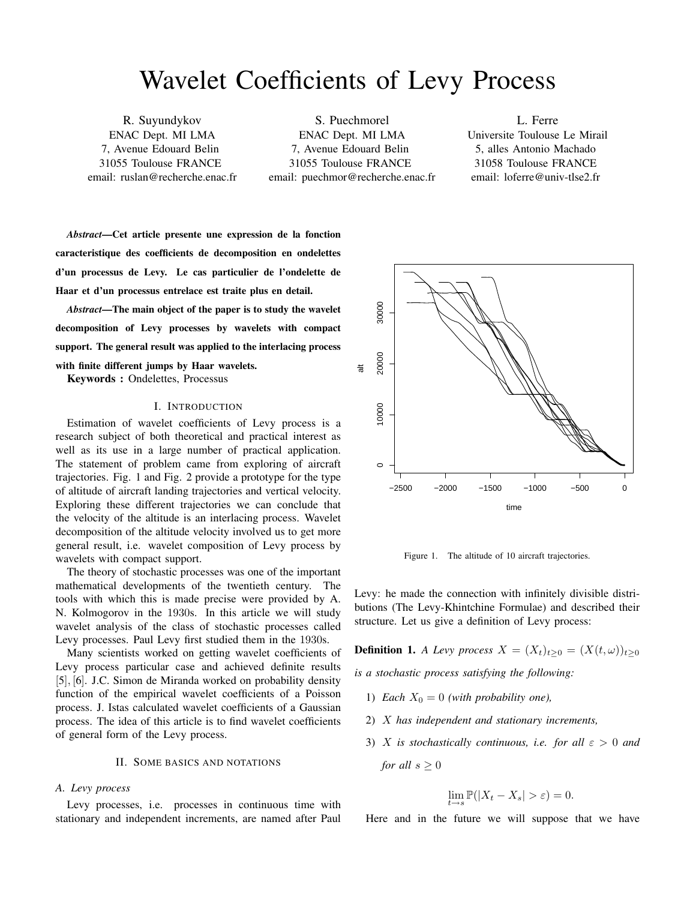# Wavelet Coefficients of Levy Process

R. Suyundykov ENAC Dept. MI LMA 7, Avenue Edouard Belin 31055 Toulouse FRANCE email: ruslan@recherche.enac.fr

S. Puechmorel ENAC Dept. MI LMA 7, Avenue Edouard Belin 31055 Toulouse FRANCE email: puechmor@recherche.enac.fr

L. Ferre Universite Toulouse Le Mirail 5, alles Antonio Machado 31058 Toulouse FRANCE email: loferre@univ-tlse2.fr

*Abstract*—Cet article presente une expression de la fonction caracteristique des coefficients de decomposition en ondelettes d'un processus de Levy. Le cas particulier de l'ondelette de Haar et d'un processus entrelace est traite plus en detail.

*Abstract*—The main object of the paper is to study the wavelet decomposition of Levy processes by wavelets with compact support. The general result was applied to the interlacing process with finite different jumps by Haar wavelets. Keywords : Ondelettes, Processus

#### I. INTRODUCTION

Estimation of wavelet coefficients of Levy process is a research subject of both theoretical and practical interest as well as its use in a large number of practical application. The statement of problem came from exploring of aircraft trajectories. Fig. 1 and Fig. 2 provide a prototype for the type of altitude of aircraft landing trajectories and vertical velocity. Exploring these different trajectories we can conclude that the velocity of the altitude is an interlacing process. Wavelet decomposition of the altitude velocity involved us to get more general result, i.e. wavelet composition of Levy process by wavelets with compact support.

The theory of stochastic processes was one of the important mathematical developments of the twentieth century. The tools with which this is made precise were provided by A. N. Kolmogorov in the 1930s. In this article we will study wavelet analysis of the class of stochastic processes called Levy processes. Paul Levy first studied them in the 1930s.

Many scientists worked on getting wavelet coefficients of Levy process particular case and achieved definite results [5], [6]. J.C. Simon de Miranda worked on probability density function of the empirical wavelet coefficients of a Poisson process. J. Istas calculated wavelet coefficients of a Gaussian process. The idea of this article is to find wavelet coefficients of general form of the Levy process.

#### II. SOME BASICS AND NOTATIONS

#### *A. Levy process*

Levy processes, i.e. processes in continuous time with stationary and independent increments, are named after Paul



Figure 1. The altitude of 10 aircraft trajectories.

Levy: he made the connection with infinitely divisible distributions (The Levy-Khintchine Formulae) and described their structure. Let us give a definition of Levy process:

**Definition 1.** *A Levy process*  $X = (X_t)_{t>0} = (X(t, \omega))_{t>0}$ 

*is a stochastic process satisfying the following:*

- 1) *Each*  $X_0 = 0$  *(with probability one)*,
- 2) X *has independent and stationary increments,*
- 3) X *is stochastically continuous, i.e. for all*  $\varepsilon > 0$  *and for all*  $s > 0$

$$
\lim_{t \to s} \mathbb{P}(|X_t - X_s| > \varepsilon) = 0.
$$

Here and in the future we will suppose that we have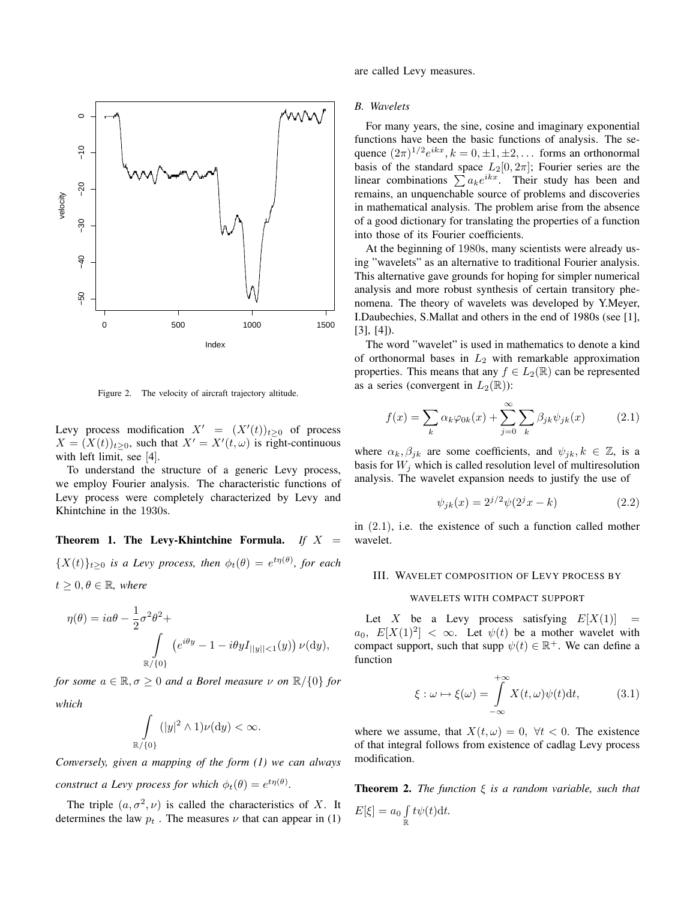

Figure 2. The velocity of aircraft trajectory altitude.

Levy process modification  $X' = (X'(t))_{t \geq 0}$  of process  $X = (X(t))_{t \geq 0}$ , such that  $X' = X'(t, \omega)$  is right-continuous with left limit, see [4].

To understand the structure of a generic Levy process, we employ Fourier analysis. The characteristic functions of Levy process were completely characterized by Levy and Khintchine in the 1930s.

**Theorem 1. The Levy-Khintchine Formula.** *If*  $X =$  ${X(t)}_{t\geq0}$  *is a Levy process, then*  $\phi_t(\theta) = e^{t\eta(\theta)}$ *, for each*  $t \geq 0, \theta \in \mathbb{R}$ , where

$$
\eta(\theta) = ia\theta - \frac{1}{2}\sigma^2 \theta^2 + \int_{\mathbb{R}/\{0\}} \left(e^{i\theta y} - 1 - i\theta y I_{||y||<1}(y)\right) \nu(\mathrm{d}y),
$$

*for some*  $a \in \mathbb{R}, \sigma \ge 0$  *and a Borel measure*  $\nu$  *on*  $\mathbb{R}/\{0\}$  *for which*

$$
\int_{\{0\}} (|y|^2 \wedge 1) \nu(\mathrm{d}y) < \infty.
$$

 $\mathbb{R}$ 

*Conversely, given a mapping of the form (1) we can always construct a Levy process for which*  $\phi_t(\theta) = e^{t\eta(\theta)}$ .

The triple  $(a, \sigma^2, \nu)$  is called the characteristics of X. It determines the law  $p_t$ . The measures  $\nu$  that can appear in (1) are called Levy measures.

#### *B. Wavelets*

For many years, the sine, cosine and imaginary exponential functions have been the basic functions of analysis. The sequence  $(2\pi)^{1/2}e^{ikx}$ ,  $k = 0, \pm 1, \pm 2, \ldots$  forms an orthonormal basis of the standard space  $L_2[0, 2\pi]$ ; Fourier series are the basis of the standard space  $L_2[0, 2\pi]$ ; Fourier series are the linear combinations  $\sum a_k e^{ikx}$ . Their study has been and remains, an unquenchable source of problems and discoveries in mathematical analysis. The problem arise from the absence of a good dictionary for translating the properties of a function into those of its Fourier coefficients.

At the beginning of 1980s, many scientists were already using "wavelets" as an alternative to traditional Fourier analysis. This alternative gave grounds for hoping for simpler numerical analysis and more robust synthesis of certain transitory phenomena. The theory of wavelets was developed by Y.Meyer, I.Daubechies, S.Mallat and others in the end of 1980s (see [1], [3], [4]).

The word "wavelet" is used in mathematics to denote a kind of orthonormal bases in  $L_2$  with remarkable approximation properties. This means that any  $f \in L_2(\mathbb{R})$  can be represented as a series (convergent in  $L_2(\mathbb{R})$ ):

$$
f(x) = \sum_{k} \alpha_k \varphi_{0k}(x) + \sum_{j=0}^{\infty} \sum_{k} \beta_{jk} \psi_{jk}(x)
$$
 (2.1)

where  $\alpha_k, \beta_{jk}$  are some coefficients, and  $\psi_{jk}, k \in \mathbb{Z}$ , is a basis for  $W_j$  which is called resolution level of multiresolution analysis. The wavelet expansion needs to justify the use of

$$
\psi_{jk}(x) = 2^{j/2}\psi(2^jx - k)
$$
\n(2.2)

in (2.1), i.e. the existence of such a function called mother wavelet.

#### III. WAVELET COMPOSITION OF LEVY PROCESS BY

#### WAVELETS WITH COMPACT SUPPORT

Let X be a Levy process satisfying  $E[X(1)] =$  $a_0, E[X(1)^2] < \infty$ . Let  $\psi(t)$  be a mother wavelet with compact support, such that supp  $\psi(t) \in \mathbb{R}^+$ . We can define a function

$$
\xi : \omega \mapsto \xi(\omega) = \int_{-\infty}^{+\infty} X(t, \omega) \psi(t) dt, \tag{3.1}
$$

where we assume, that  $X(t, \omega) = 0$ ,  $\forall t < 0$ . The existence of that integral follows from existence of cadlag Levy process modification.

Theorem 2. *The function* ξ *is a random variable, such that*  $E[\xi] = a_0$ R R  $t\psi(t)dt$ .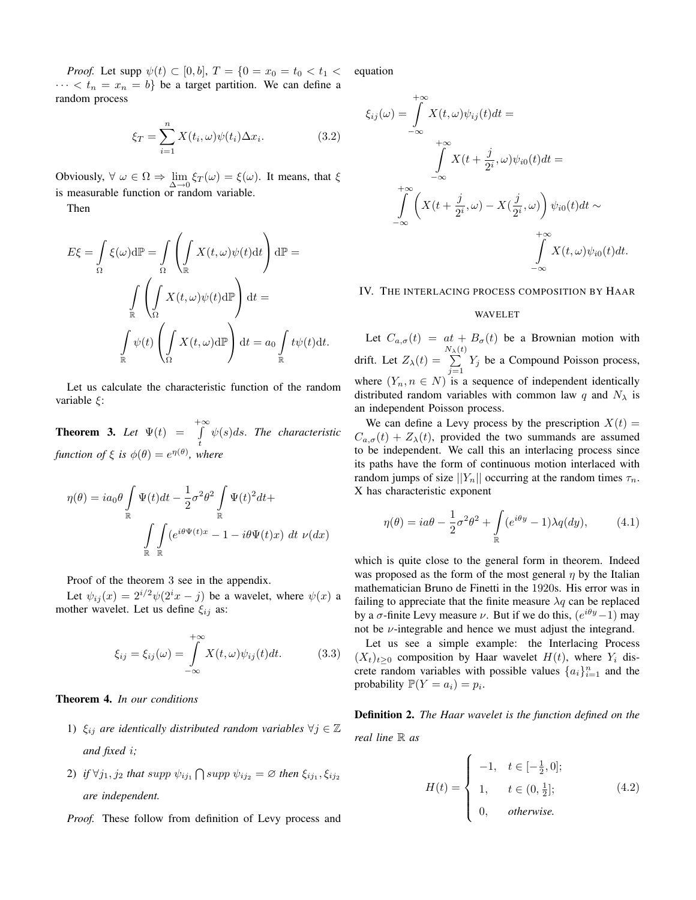*Proof.* Let supp  $\psi(t) \subset [0, b]$ ,  $T = \{0 = x_0 = t_0 < t_1$  $\cdots < t_n = x_n = b$  be a target partition. We can define a random process

$$
\xi_T = \sum_{i=1}^n X(t_i, \omega) \psi(t_i) \Delta x_i.
$$
 (3.2)

Obviously,  $\forall \omega \in \Omega \Rightarrow \lim_{\Delta \to 0} \xi_T(\omega) = \xi(\omega)$ . It means, that  $\xi$ is measurable function or random variable.

Then

$$
E\xi = \int_{\Omega} \xi(\omega) d\mathbb{P} = \int_{\Omega} \left( \int_{\mathbb{R}} X(t, \omega) \psi(t) dt \right) d\mathbb{P} =
$$

$$
\int_{\mathbb{R}} \left( \int_{\Omega} X(t, \omega) \psi(t) d\mathbb{P} \right) dt =
$$

$$
\int_{\mathbb{R}} \psi(t) \left( \int_{\Omega} X(t, \omega) d\mathbb{P} \right) dt = a_0 \int_{\mathbb{R}} t \psi(t) dt.
$$

Let us calculate the characteristic function of the random variable ξ:

**Theorem 3.** Let  $\Psi(t) = \int_{0}^{+\infty}$ t ψ(s)ds. *The characteristic function of*  $\xi$  *is*  $\phi(\theta) = e^{\eta(\theta)}$ *, where* 

$$
\eta(\theta) = ia_0 \theta \int_{\mathbb{R}} \Psi(t) dt - \frac{1}{2} \sigma^2 \theta^2 \int_{\mathbb{R}} \Psi(t)^2 dt +
$$

$$
\int_{\mathbb{R}} \int_{\mathbb{R}} (e^{i\theta \Psi(t)x} - 1 - i\theta \Psi(t)x) dt \nu(dx)
$$

Proof of the theorem 3 see in the appendix.

Let  $\psi_{ii}(x) = 2^{i/2}\psi(2^ix - j)$  be a wavelet, where  $\psi(x)$  a mother wavelet. Let us define  $\xi_{ij}$  as:

$$
\xi_{ij} = \xi_{ij}(\omega) = \int_{-\infty}^{+\infty} X(t, \omega) \psi_{ij}(t) dt.
$$
 (3.3)

Theorem 4. *In our conditions*

- 1)  $\xi_{ij}$  *are identically distributed random variables*  $\forall j \in \mathbb{Z}$ *and fixed* i*;*
- 2) if  $\forall j_1, j_2$  that  $supp \psi_{ij_1} \bigcap supp \psi_{ij_2} = \varnothing$  then  $\xi_{ij_1}, \xi_{ij_2}$ *are independent.*

*Proof.* These follow from definition of Levy process and

equation

$$
\xi_{ij}(\omega) = \int_{-\infty}^{+\infty} X(t, \omega) \psi_{ij}(t) dt =
$$
  

$$
\int_{-\infty}^{+\infty} X(t + \frac{j}{2^i}, \omega) \psi_{i0}(t) dt =
$$
  

$$
\int_{-\infty}^{+\infty} \left( X(t + \frac{j}{2^i}, \omega) - X(\frac{j}{2^i}, \omega) \right) \psi_{i0}(t) dt \sim
$$
  

$$
\int_{-\infty}^{+\infty} X(t, \omega) \psi_{i0}(t) dt.
$$

IV. THE INTERLACING PROCESS COMPOSITION BY HAAR

#### WAVELET

Let  $C_{a,\sigma}(t) = at + B_{\sigma}(t)$  be a Brownian motion with drift. Let  $Z_{\lambda}(t) = \sum_{n=1}^{N_{\lambda}(t)}$  $\sum_{j=1} Y_j$  be a Compound Poisson process, where  $(Y_n, n \in N)$  is a sequence of independent identically distributed random variables with common law q and  $N_{\lambda}$  is an independent Poisson process.

We can define a Levy process by the prescription  $X(t) =$  $C_{a,\sigma}(t) + Z_{\lambda}(t)$ , provided the two summands are assumed to be independent. We call this an interlacing process since its paths have the form of continuous motion interlaced with random jumps of size  $||Y_n||$  occurring at the random times  $\tau_n$ . X has characteristic exponent

$$
\eta(\theta) = ia\theta - \frac{1}{2}\sigma^2 \theta^2 + \int_{\mathbb{R}} (e^{i\theta y} - 1) \lambda q(dy), \qquad (4.1)
$$

which is quite close to the general form in theorem. Indeed was proposed as the form of the most general  $\eta$  by the Italian mathematician Bruno de Finetti in the 1920s. His error was in failing to appreciate that the finite measure  $\lambda q$  can be replaced by a  $\sigma$ -finite Levy measure  $\nu$ . But if we do this,  $(e^{i\theta y}-1)$  may not be  $\nu$ -integrable and hence we must adjust the integrand.

Let us see a simple example: the Interlacing Process  $(X_t)_{t>0}$  composition by Haar wavelet  $H(t)$ , where  $Y_i$  discrete random variables with possible values  $\{a_i\}_{i=1}^n$  and the probability  $\mathbb{P}(Y = a_i) = p_i$ .

Definition 2. *The Haar wavelet is the function defined on the*

*real line* R *as*

$$
H(t) = \begin{cases} -1, & t \in [-\frac{1}{2}, 0]; \\ 1, & t \in (0, \frac{1}{2}]; \\ 0, & otherwise. \end{cases}
$$
(4.2)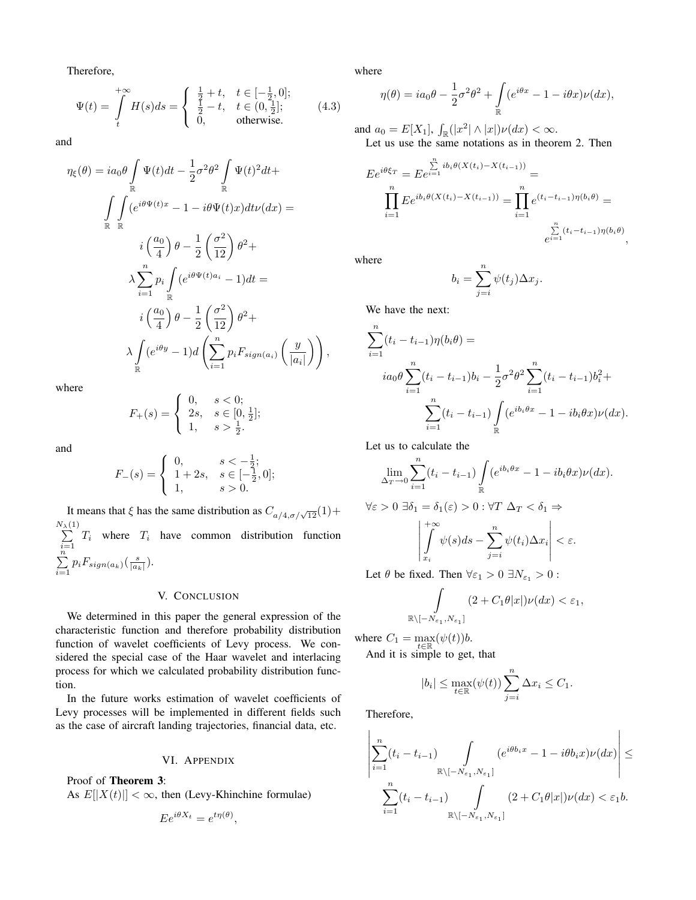Therefore,

$$
\Psi(t) = \int_{t}^{+\infty} H(s)ds = \begin{cases} \frac{1}{2} + t, & t \in [-\frac{1}{2}, 0]; \\ \frac{1}{2} - t, & t \in (0, \frac{1}{2}]; \\ 0, & \text{otherwise.} \end{cases}
$$
(4.3)

and

$$
\eta_{\xi}(\theta) = ia_0 \theta \int_{\mathbb{R}} \Psi(t)dt - \frac{1}{2}\sigma^2 \theta^2 \int_{\mathbb{R}} \Psi(t)^2 dt +
$$

$$
\int_{\mathbb{R}} \int_{\mathbb{R}} (e^{i\theta \Psi(t)x} - 1 - i\theta \Psi(t)x)dt \nu(dx) =
$$

$$
i \left(\frac{a_0}{4}\right) \theta - \frac{1}{2} \left(\frac{\sigma^2}{12}\right) \theta^2 +
$$

$$
\lambda \sum_{i=1}^n p_i \int_{\mathbb{R}} (e^{i\theta \Psi(t)a_i} - 1)dt =
$$

$$
i \left(\frac{a_0}{4}\right) \theta - \frac{1}{2} \left(\frac{\sigma^2}{12}\right) \theta^2 +
$$

$$
\lambda \int_{\mathbb{R}} (e^{i\theta y} - 1) d \left(\sum_{i=1}^n p_i F_{sign(a_i)} \left(\frac{y}{|a_i|}\right)\right)
$$

where

$$
F_{+}(s) = \begin{cases} 0, & s < 0; \\ 2s, & s \in [0, \frac{1}{2}]; \\ 1, & s > \frac{1}{2}. \end{cases}
$$

and

$$
F_{-}(s) = \begin{cases} 0, & s < -\frac{1}{2}; \\ 1+2s, & s \in [-\frac{1}{2},0]; \\ 1, & s > 0. \end{cases}
$$

It means that  $\xi$  has the same distribution as  $C_{a/4, \sigma/\sqrt{12}}(1)$  +  $\sum_{i=1}^{N_{\lambda}(1)} T_i$  where  $T_i$  have common distribution function  $\sum_{n=1}^{i=1}$  $\sum_{i=1} p_i F_{sign(a_k)}(\frac{s}{|a_k|}).$ 

#### V. CONCLUSION

We determined in this paper the general expression of the characteristic function and therefore probability distribution function of wavelet coefficients of Levy process. We considered the special case of the Haar wavelet and interlacing process for which we calculated probability distribution function.

In the future works estimation of wavelet coefficients of Levy processes will be implemented in different fields such as the case of aircraft landing trajectories, financial data, etc.

#### VI. APPENDIX

Proof of Theorem 3:

As  $E[|X(t)|] < \infty$ , then (Levy-Khinchine formulae)

$$
E e^{i\theta X_t} = e^{t\eta(\theta)},
$$

where

$$
\eta(\theta) = ia_0 \theta - \frac{1}{2} \sigma^2 \theta^2 + \int_{\mathbb{R}} (e^{i\theta x} - 1 - i\theta x) \nu(dx),
$$

and  $a_0 = E[X_1]$ ,  $\int_{\mathbb{R}}(|x^2|\wedge|x|)\nu(dx) < \infty.$ Let us use the same notations as in theorem 2. Then

$$
E e^{i\theta \xi_T} = E e^{i=1} \sum_{i=1}^n i b_i \theta(X(t_i) - X(t_{i-1})) =
$$
  

$$
\prod_{i=1}^n E e^{i b_i \theta(X(t_i) - X(t_{i-1}))} = \prod_{i=1}^n e^{(t_i - t_{i-1}) \eta(b_i \theta)} =
$$
  

$$
\sum_{i=1}^n (t_i - t_{i-1}) \eta(b_i \theta),
$$

where

 $\overline{X}$ 

,

$$
b_i = \sum_{j=i}^n \psi(t_j) \Delta x_j.
$$

We have the next:

$$
\sum_{i=1}^{n} (t_i - t_{i-1}) \eta(b_i \theta) =
$$
  
\n
$$
i a_0 \theta \sum_{i=1}^{n} (t_i - t_{i-1}) b_i - \frac{1}{2} \sigma^2 \theta^2 \sum_{i=1}^{n} (t_i - t_{i-1}) b_i^2 +
$$
  
\n
$$
\sum_{i=1}^{n} (t_i - t_{i-1}) \int_{\mathbb{R}} (e^{ib_i \theta x} - 1 - ib_i \theta x) \nu(dx).
$$

Let us to calculate the

$$
\lim_{\Delta_T \to 0} \sum_{i=1}^n (t_i - t_{i-1}) \int_{\mathbb{R}} (e^{ib_i \theta x} - 1 - ib_i \theta x) \nu(dx).
$$
  

$$
\forall \varepsilon > 0 \ \exists \delta_1 = \delta_1(\varepsilon) > 0 : \forall T \ \Delta_T < \delta_1 \Rightarrow
$$

$$
\left| \int_{x_i}^{+\infty} \psi(s) ds - \sum_{j=i}^n \psi(t_i) \Delta x_i \right| < \varepsilon.
$$

Let  $\theta$  be fixed. Then  $\forall \varepsilon_1 > 0 \exists N_{\varepsilon_1} > 0$ :

$$
\int_{\mathbb{R}\setminus[-N_{\varepsilon_1},N_{\varepsilon_1}]} (2+C_1\theta|x|)\nu(dx)<\varepsilon_1,
$$

where  $C_1 = \max_{t \in \mathbb{R}} (\psi(t))b$ .

And it is simple to get, that

$$
|b_i| \le \max_{t \in \mathbb{R}} (\psi(t)) \sum_{j=i}^n \Delta x_i \le C_1.
$$

Therefore,

$$
\left| \sum_{i=1}^n (t_i - t_{i-1}) \int_{\mathbb{R} \setminus [-N_{\varepsilon_1}, N_{\varepsilon_1}]} (e^{i\theta b_i x} - 1 - i\theta b_i x) \nu(dx) \right| \le
$$
  

$$
\sum_{i=1}^n (t_i - t_{i-1}) \int_{\mathbb{R} \setminus [-N_{\varepsilon_1}, N_{\varepsilon_1}]} (2 + C_1 \theta |x|) \nu(dx) < \varepsilon_1 b.
$$